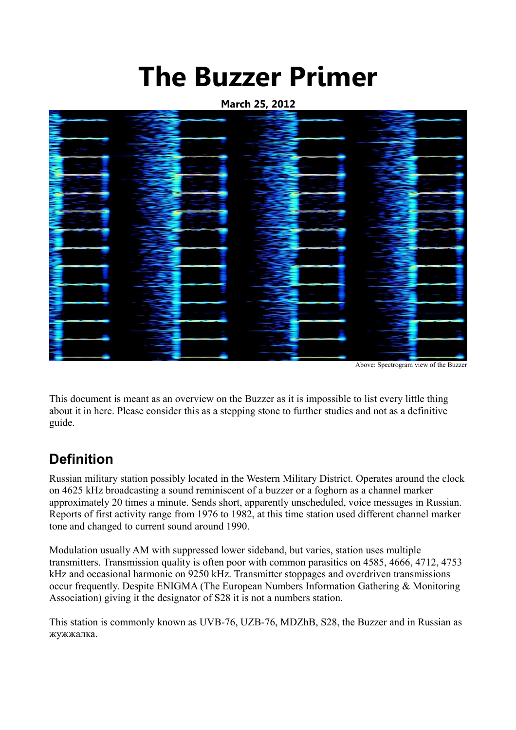# **The Buzzer Primer**

**March 25, 2012**



This document is meant as an overview on the Buzzer as it is impossible to list every little thing about it in here. Please consider this as a stepping stone to further studies and not as a definitive guide.

# **Definition**

Russian military station possibly located in the Western Military District. Operates around the clock on 4625 kHz broadcasting a sound reminiscent of a buzzer or a foghorn as a channel marker approximately 20 times a minute. Sends short, apparently unscheduled, voice messages in Russian. Reports of first activity range from 1976 to 1982, at this time station used different channel marker tone and changed to current sound around 1990.

Modulation usually AM with suppressed lower sideband, but varies, station uses multiple transmitters. Transmission quality is often poor with common parasitics on 4585, 4666, 4712, 4753 kHz and occasional harmonic on 9250 kHz. Transmitter stoppages and overdriven transmissions occur frequently. Despite ENIGMA (The European Numbers Information Gathering & Monitoring Association) giving it the designator of S28 it is not a numbers station.

This station is commonly known as UVB-76, UZB-76, MDZhB, S28, the Buzzer and in Russian as жужжалка.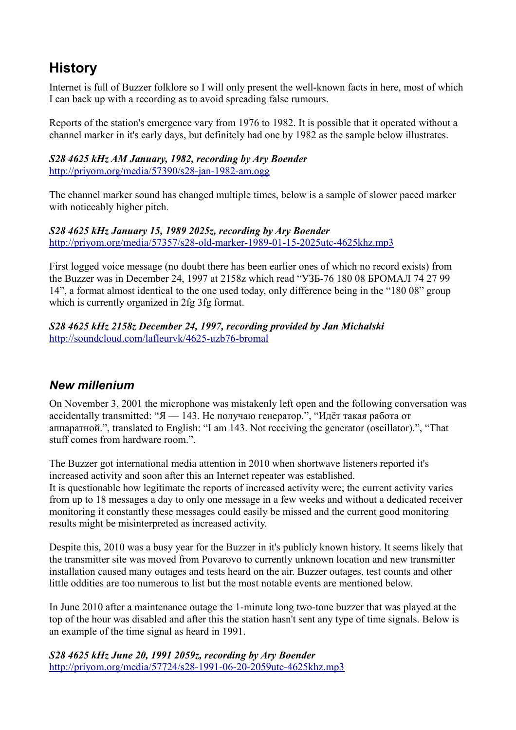# **History**

Internet is full of Buzzer folklore so I will only present the well-known facts in here, most of which I can back up with a recording as to avoid spreading false rumours.

Reports of the station's emergence vary from 1976 to 1982. It is possible that it operated without a channel marker in it's early days, but definitely had one by 1982 as the sample below illustrates.

#### *S28 4625 kHz AM January, 1982, recording by Ary Boender* <http://priyom.org/media/57390/s28-jan-1982-am.ogg>

The channel marker sound has changed multiple times, below is a sample of slower paced marker with noticeably higher pitch.

#### *S28 4625 kHz January 15, 1989 2025z, recording by Ary Boender* <http://priyom.org/media/57357/s28-old-marker-1989-01-15-2025utc-4625khz.mp3>

First logged voice message (no doubt there has been earlier ones of which no record exists) from the Buzzer was in December 24, 1997 at 2158z which read "УЗБ-76 180 08 БРОМАЛ 74 27 99 14", a format almost identical to the one used today, only difference being in the "180 08" group which is currently organized in 2fg 3fg format.

#### *S28 4625 kHz 2158z December 24, 1997, recording provided by Jan Michalski* <http://soundcloud.com/lafleurvk/4625-uzb76-bromal>

# *New millenium*

On November 3, 2001 the microphone was mistakenly left open and the following conversation was accidentally transmitted: " $A - 143$ . Не получаю генератор.", "Идёт такая работа от аппаратной.", translated to English: "I am 143. Not receiving the generator (oscillator).", "That stuff comes from hardware room.".

The Buzzer got international media attention in 2010 when shortwave listeners reported it's increased activity and soon after this an Internet repeater was established. It is questionable how legitimate the reports of increased activity were; the current activity varies from up to 18 messages a day to only one message in a few weeks and without a dedicated receiver monitoring it constantly these messages could easily be missed and the current good monitoring results might be misinterpreted as increased activity.

Despite this, 2010 was a busy year for the Buzzer in it's publicly known history. It seems likely that the transmitter site was moved from Povarovo to currently unknown location and new transmitter installation caused many outages and tests heard on the air. Buzzer outages, test counts and other little oddities are too numerous to list but the most notable events are mentioned below.

In June 2010 after a maintenance outage the 1-minute long two-tone buzzer that was played at the top of the hour was disabled and after this the station hasn't sent any type of time signals. Below is an example of the time signal as heard in 1991.

*S28 4625 kHz June 20, 1991 2059z, recording by Ary Boender* <http://priyom.org/media/57724/s28-1991-06-20-2059utc-4625khz.mp3>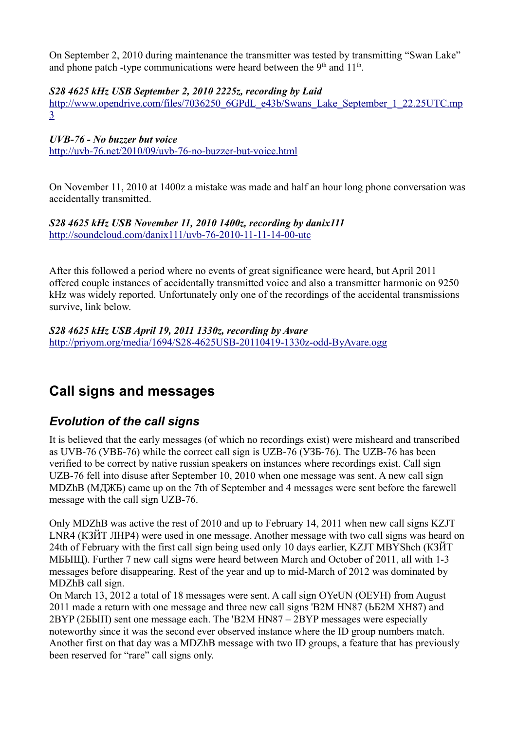On September 2, 2010 during maintenance the transmitter was tested by transmitting "Swan Lake" and phone patch -type communications were heard between the  $9<sup>th</sup>$  and  $11<sup>th</sup>$ .

#### *S28 4625 kHz USB September 2, 2010 2225z, recording by Laid*

[http://www.opendrive.com/files/7036250\\_6GPdL\\_e43b/Swans\\_Lake\\_September\\_1\\_22.25UTC.mp](http://www.opendrive.com/files/7036250_6GPdL_e43b/Swans_Lake_September_1_22.25UTC.mp3) [3](http://www.opendrive.com/files/7036250_6GPdL_e43b/Swans_Lake_September_1_22.25UTC.mp3)

*UVB-76 - No buzzer but voice*

<http://uvb-76.net/2010/09/uvb-76-no-buzzer-but-voice.html>

On November 11, 2010 at 1400z a mistake was made and half an hour long phone conversation was accidentally transmitted.

#### *S28 4625 kHz USB November 11, 2010 1400z, recording by danix111* <http://soundcloud.com/danix111/uvb-76-2010-11-11-14-00-utc>

After this followed a period where no events of great significance were heard, but April 2011 offered couple instances of accidentally transmitted voice and also a transmitter harmonic on 9250 kHz was widely reported. Unfortunately only one of the recordings of the accidental transmissions survive, link below.

*S28 4625 kHz USB April 19, 2011 1330z, recording by Avare* <http://priyom.org/media/1694/S28-4625USB-20110419-1330z-odd-ByAvare.ogg>

# **Call signs and messages**

# *Evolution of the call signs*

It is believed that the early messages (of which no recordings exist) were misheard and transcribed as UVB-76 (УВБ-76) while the correct call sign is UZB-76 (УЗБ-76). The UZB-76 has been verified to be correct by native russian speakers on instances where recordings exist. Call sign UZB-76 fell into disuse after September 10, 2010 when one message was sent. A new call sign MDZhB (МДЖБ) came up on the 7th of September and 4 messages were sent before the farewell message with the call sign UZB-76.

Only MDZhB was active the rest of 2010 and up to February 14, 2011 when new call signs KZJT LNR4 (КЗЙТ ЛНР4) were used in one message. Another message with two call signs was heard on 24th of February with the first call sign being used only 10 days earlier, KZJT MBYShch (КЗЙТ МБЫЩ). Further 7 new call signs were heard between March and October of 2011, all with 1-3 messages before disappearing. Rest of the year and up to mid-March of 2012 was dominated by MDZhB call sign.

On March 13, 2012 a total of 18 messages were sent. A call sign OYeUN (ОЕУН) from August 2011 made a return with one message and three new call signs 'B2M HN87 (ЬБ2М ХН87) and 2BYP (2БЫП) sent one message each. The 'B2M HN87 – 2BYP messages were especially noteworthy since it was the second ever observed instance where the ID group numbers match. Another first on that day was a MDZhB message with two ID groups, a feature that has previously been reserved for "rare" call signs only.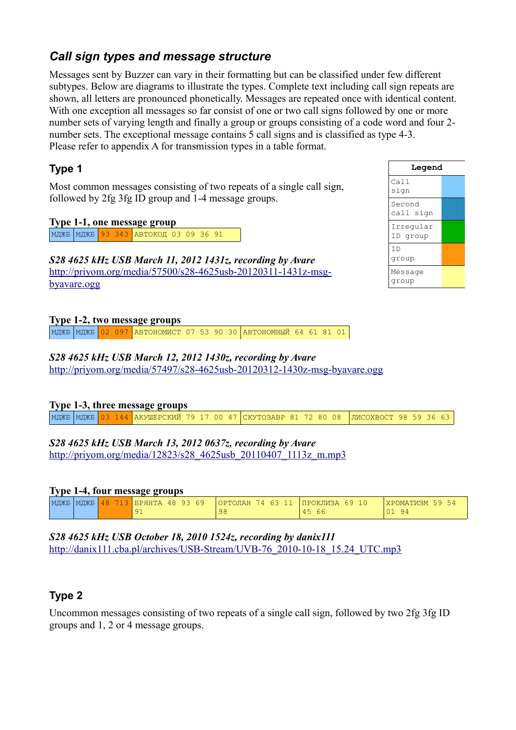# *Call sign types and message structure*

Messages sent by Buzzer can vary in their formatting but can be classified under few different subtypes. Below are diagrams to illustrate the types. Complete text including call sign repeats are shown, all letters are pronounced phonetically. Messages are repeated once with identical content. With one exception all messages so far consist of one or two call signs followed by one or more number sets of varying length and finally a group or groups consisting of a code word and four 2 number sets. The exceptional message contains 5 call signs and is classified as type 4-3. Please refer to appendix A for transmission types in a table format.

### **Type 1**

Most common messages consisting of two repeats of a single call sign, followed by 2fg 3fg ID group and 1-4 message groups.

#### **Type 1-1, one message group**

| МДЖБ <mark>| МДЖБ 93 343 | АВТОКОД 03 09 36 91</mark>

*S28 4625 kHz USB March 11, 2012 1431z, recording by Avare* [http://priyom.org/media/57500/s28-4625usb-20120311-1431z-msg](http://priyom.org/media/57500/s28-4625usb-20120311-1431z-msg-byavare.ogg)[byavare.ogg](http://priyom.org/media/57500/s28-4625usb-20120311-1431z-msg-byavare.ogg)

#### **Type 1-2, two message groups**

МДЖБ МДЖБ 02 097 АВТОНОМИСТ 07 53 90 30 АВТОНОМНЫЙ 64 61 81 01

#### *S28 4625 kHz USB March 12, 2012 1430z, recording by Avare*

<http://priyom.org/media/57497/s28-4625usb-20120312-1430z-msg-byavare.ogg>

#### **Type 1-3, three message groups**

МДЖБ МДЖБ 03 144 АКУШЕРСКИЙ 79 17 00 47 СКУТОЗАВР 81 72 80 08 ЛИСОХВОСТ 98 59 36 63

# *S28 4625 kHz USB March 13, 2012 0637z, recording by Avare*

[http://priyom.org/media/12823/s28\\_4625usb\\_20110407\\_1113z\\_m.mp3](http://priyom.org/media/12823/s28_4625usb_20110407_1113z_m.mp3)

#### **Type 1-4, four message groups**

| МДЖБ   МДЖБ   <mark> </mark> |  | 48 713 БРЯНТА 48 93 69 |  | ОРТОЛАН 74 63 11 |  | $\blacksquare$ ПРОКЛИЗА 69 10 | ХРОМАТИЗМ 59 54 |  |
|------------------------------|--|------------------------|--|------------------|--|-------------------------------|-----------------|--|
|                              |  |                        |  | 98               |  | 66<br>45                      | 94<br>01        |  |

*S28 4625 kHz USB October 18, 2010 1524z, recording by danix111* [http://danix111.cba.pl/archives/USB-Stream/UVB-76\\_2010-10-18\\_15.24\\_UTC.mp3](http://danix111.cba.pl/archives/USB-Stream/UVB-76_2010-10-18_15.24_UTC.mp3)

# **Type 2**

Uncommon messages consisting of two repeats of a single call sign, followed by two 2fg 3fg ID groups and 1, 2 or 4 message groups.

| Legend                  |  |  |  |  |  |  |  |
|-------------------------|--|--|--|--|--|--|--|
| Call<br>sign            |  |  |  |  |  |  |  |
| Second<br>call sign     |  |  |  |  |  |  |  |
| Irregular<br>ID group   |  |  |  |  |  |  |  |
| T <sub>D</sub><br>group |  |  |  |  |  |  |  |
| Message<br>group        |  |  |  |  |  |  |  |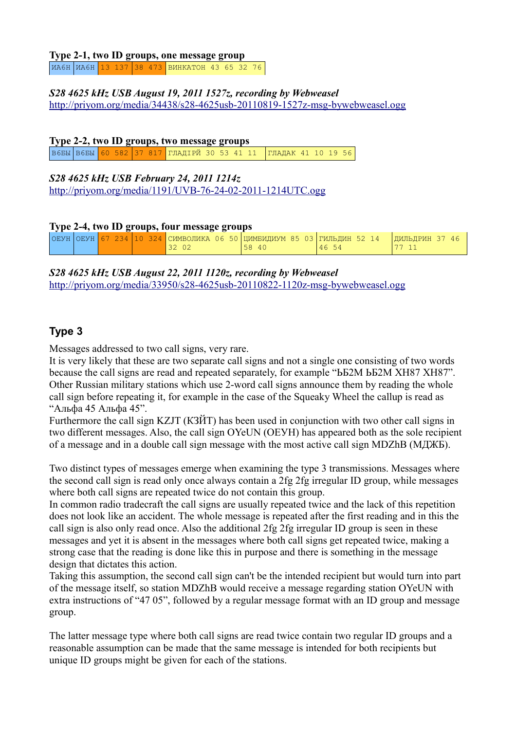#### **Type 2-1, two ID groups, one message group** ИА6Н ИА6Н 13 137 38 473 ВИНКАТОН 43 65 32 76

#### *S28 4625 kHz USB August 19, 2011 1527z, recording by Webweasel* <http://priyom.org/media/34438/s28-4625usb-20110819-1527z-msg-bywebweasel.ogg>

#### **Type 2-2, two ID groups, two message groups**

В6БЫ В6БЫ 60 582 37 817 ГЛАДІРЙ 30 53 41 11 ГЛАДАК 41 10 19 56

#### *S28 4625 kHz USB February 24, 2011 1214z* <http://priyom.org/media/1191/UVB-76-24-02-2011-1214UTC.ogg>

#### **Type 2-4, two ID groups, four message groups**

|  |  |  |  |       | ОЕУН ОЕУН  67 234   10 324   СИМВОЛИКА 06 50   ЦИМБИДИУМ 85 03   ГИЛЬДИН 52 14 | ДИЛЬДРИН 37 46 |
|--|--|--|--|-------|--------------------------------------------------------------------------------|----------------|
|  |  |  |  | 58 40 | 4654                                                                           |                |

*S28 4625 kHz USB August 22, 2011 1120z, recording by Webweasel* <http://priyom.org/media/33950/s28-4625usb-20110822-1120z-msg-bywebweasel.ogg>

# **Type 3**

Messages addressed to two call signs, very rare.

It is very likely that these are two separate call signs and not a single one consisting of two words because the call signs are read and repeated separately, for example "ЬБ2М ЬБ2М ХН87 ХН87". Other Russian military stations which use 2-word call signs announce them by reading the whole call sign before repeating it, for example in the case of the Squeaky Wheel the callup is read as "Альфа 45 Альфа 45".

Furthermore the call sign KZJT (КЗЙТ) has been used in conjunction with two other call signs in two different messages. Also, the call sign OYeUN (ОЕУН) has appeared both as the sole recipient of a message and in a double call sign message with the most active call sign MDZhB (МДЖБ).

Two distinct types of messages emerge when examining the type 3 transmissions. Messages where the second call sign is read only once always contain a 2fg 2fg irregular ID group, while messages where both call signs are repeated twice do not contain this group.

In common radio tradecraft the call signs are usually repeated twice and the lack of this repetition does not look like an accident. The whole message is repeated after the first reading and in this the call sign is also only read once. Also the additional 2fg 2fg irregular ID group is seen in these messages and yet it is absent in the messages where both call signs get repeated twice, making a strong case that the reading is done like this in purpose and there is something in the message design that dictates this action.

Taking this assumption, the second call sign can't be the intended recipient but would turn into part of the message itself, so station MDZhB would receive a message regarding station OYeUN with extra instructions of "47 05", followed by a regular message format with an ID group and message group.

The latter message type where both call signs are read twice contain two regular ID groups and a reasonable assumption can be made that the same message is intended for both recipients but unique ID groups might be given for each of the stations.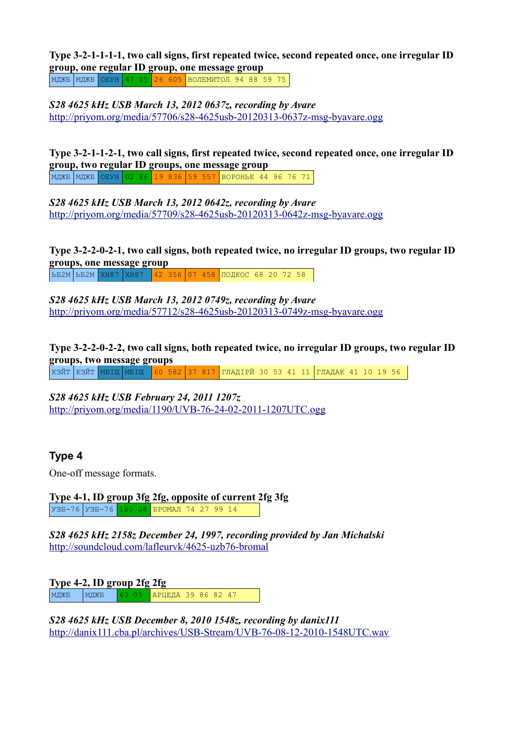**Type 3-2-1-1-1-1, two call signs, first repeated twice, second repeated once, one irregular ID group, one regular ID group, one message group**

МДЖБ МДЖБ ОЕУН 47 05 26 605 ВОЛЕМИТОЛ 94 88 59 75

*S28 4625 kHz USB March 13, 2012 0637z, recording by Avare* <http://priyom.org/media/57706/s28-4625usb-20120313-0637z-msg-byavare.ogg>

**Type 3-2-1-1-2-1, two call signs, first repeated twice, second repeated once, one irregular ID group, two regular ID groups, one message group** МДЖБ МДЖБ ОЕУН 02 86 19 836 59 557 ВОРОНЬЕ 44 96 76 71

*S28 4625 kHz USB March 13, 2012 0642z, recording by Avare* <http://priyom.org/media/57709/s28-4625usb-20120313-0642z-msg-byavare.ogg>

**Type 3-2-2-0-2-1, two call signs, both repeated twice, no irregular ID groups, two regular ID groups, one message group**

ЬБ2М ЬБ2М ХН87 ХН87 42 356 07 458 ПОДКОС 68 20 72 58

*S28 4625 kHz USB March 13, 2012 0749z, recording by Avare* <http://priyom.org/media/57712/s28-4625usb-20120313-0749z-msg-byavare.ogg>

**Type 3-2-2-0-2-2, two call signs, both repeated twice, no irregular ID groups, two regular ID groups, two message groups**

| КЗЙТ |КЗЙТ |МБІЩ |МБІЩ |<mark>60 582 37 817 |</mark>ГЛАДІРЙ 30 53 41 11 |ГЛАДАК 41 10 19 56

*S28 4625 kHz USB February 24, 2011 1207z* <http://priyom.org/media/1190/UVB-76-24-02-2011-1207UTC.ogg>

### **Type 4**

One-off message formats.

**Type 4-1, ID group 3fg 2fg, opposite of current 2fg 3fg** УЗБ-76 УЗБ-76 180 08 БРОМАЛ 74 27 99 14

*S28 4625 kHz 2158z December 24, 1997, recording provided by Jan Michalski* <http://soundcloud.com/lafleurvk/4625-uzb76-bromal>

**Type 4-2, ID group 2fg 2fg** МДЖБ МДЖБ 63 05 АРЦЕДА 39 86 82 47

*S28 4625 kHz USB December 8, 2010 1548z, recording by danix111* <http://danix111.cba.pl/archives/USB-Stream/UVB-76-08-12-2010-1548UTC.wav>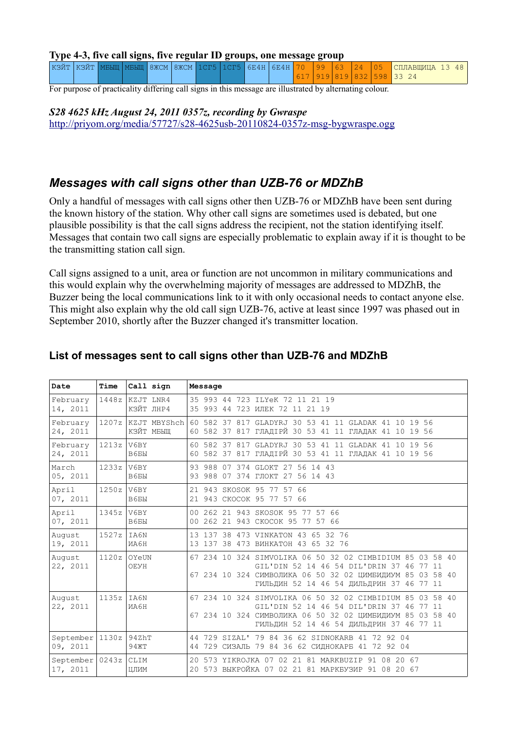#### **Type 4-3, five call signs, five regular ID groups, one message group**

|  |  |  |  |  |  |  | КЗЙТ КЗЙТ  МБЫШ  МБЫШ  8ЖСМ  8ЖСМ  1СГ5  1СГ5  6Е4Н  6Е4Н  70  99  63  24  05  СПЛАВШИША 13 48 |
|--|--|--|--|--|--|--|------------------------------------------------------------------------------------------------|
|  |  |  |  |  |  |  | 617   919   819   832   598   33 24                                                            |

For purpose of practicality differing call signs in this message are illustrated by alternating colour.

*S28 4625 kHz August 24, 2011 0357z, recording by Gwraspe* <http://priyom.org/media/57727/s28-4625usb-20110824-0357z-msg-bygwraspe.ogg>

# *Messages with call signs other than UZB-76 or MDZhB*

Only a handful of messages with call signs other then UZB-76 or MDZhB have been sent during the known history of the station. Why other call signs are sometimes used is debated, but one plausible possibility is that the call signs address the recipient, not the station identifying itself. Messages that contain two call signs are especially problematic to explain away if it is thought to be the transmitting station call sign.

Call signs assigned to a unit, area or function are not uncommon in military communications and this would explain why the overwhelming majority of messages are addressed to MDZhB, the Buzzer being the local communications link to it with only occasional needs to contact anyone else. This might also explain why the old call sign UZB-76, active at least since 1997 was phased out in September 2010, shortly after the Buzzer changed it's transmitter location.

| Date                                  | Time         | Call sign                       | Message                                                                                                                                                                                                           |
|---------------------------------------|--------------|---------------------------------|-------------------------------------------------------------------------------------------------------------------------------------------------------------------------------------------------------------------|
| February<br>14, 2011                  |              | 1448z KZJT LNR4<br>КЗЙТ ЛНР4    | 35 993 44 723 ILYeK 72 11 21 19<br>35 993 44 723 MJEK 72 11 21 19                                                                                                                                                 |
| February<br>24, 2011                  |              | 1207z KZJT MBYShch<br>КЗЙТ МБЫШ | 60 582 37 817 GLADYRJ 30 53 41 11 GLADAK 41 10 19 56<br>60 582 37 817 ГЛАДІРЙ 30 53 41 11 ГЛАДАК 41 10 19 56                                                                                                      |
| February<br>24, 2011                  | $1213z$ V6BY | B6 <sub>B</sub> H               | 60 582 37 817 GLADYRJ 30 53 41 11 GLADAK 41 10 19 56<br>60 582 37 817 ГЛАДІРЙ 30 53 41 11 ГЛАДАК 41 10 19 56                                                                                                      |
| March<br>05, 2011                     | $1233z$ V6BY | B6 <sub>B</sub> H               | 93 988 07 374 GLOKT 27 56 14 43<br>93 988 07 374 ГЛОКТ 27 56 14 43                                                                                                                                                |
| April<br>07, 2011                     | $1250z$ V6BY | B6EH                            | 21 943 SKOSOK 95 77 57 66<br>21 943 CKOCOK 95 77 57 66                                                                                                                                                            |
| April<br>07, 2011                     | $1345z$ V6BY | B6BH                            | 00 262 21 943 SKOSOK 95 77 57 66<br>00 262 21 943 СКОСОК 95 77 57 66                                                                                                                                              |
| August<br>19, 2011                    | 1527z        | IAA6N<br>MA6H                   | 13 137 38 473 VINKATON 43 65 32 76<br>13 137 38 473 BMHKATOH 43 65 32 76                                                                                                                                          |
| August<br>22, 2011                    |              | $1120z$ OYeUN<br>OEYH           | 67 234 10 324 SIMVOLIKA 06 50 32 02 CIMBIDIUM 85 03 58 40<br>GIL'DIN 52 14 46 54 DIL'DRIN 37 46 77<br>11<br>67 234 10 324 СИМВОЛИКА 06 50 32 02 ЦИМБИДИУМ 85 03 58 40<br>ГИЛЬДИН 52 14 46 54 ДИЛЬДРИН 37 46 77 11 |
| August<br>22, 2011                    | $1135z$ IA6N | MA6H                            | 67 234 10 324 SIMVOLIKA 06 50 32 02 CIMBIDIUM 85 03 58 40<br>GIL'DIN 52 14 46 54 DIL'DRIN 37 46 77 11<br>67 234 10 324 СИМВОЛИКА 06 50 32 02 ЦИМБИДИУМ 85 03 58 40<br>ГИЛЬДИН 52 14 46 54 ДИЛЬДРИН 37 46 77 11    |
| September   1130z   94ZhT<br>09, 2011 |              | 94 KT                           | 44 729 SIZAL' 79 84 36 62 SIDNOKARB 41 72 92 04<br>44 729 СИЗАЛЬ 79 84 36 62 СИДНОКАРБ 41 72 92 04                                                                                                                |
| September<br>17, 2011                 | 0243z        | CLIM<br>ЦЛИМ                    | 20 573 YIKROJKA 07 02 21 81 MARKBUZIP 91 08 20 67<br>20 573 ВЫКРОЙКА 07 02 21 81 МАРКБУЗИР 91 08 20 67                                                                                                            |

### **List of messages sent to call signs other than UZB-76 and MDZhB**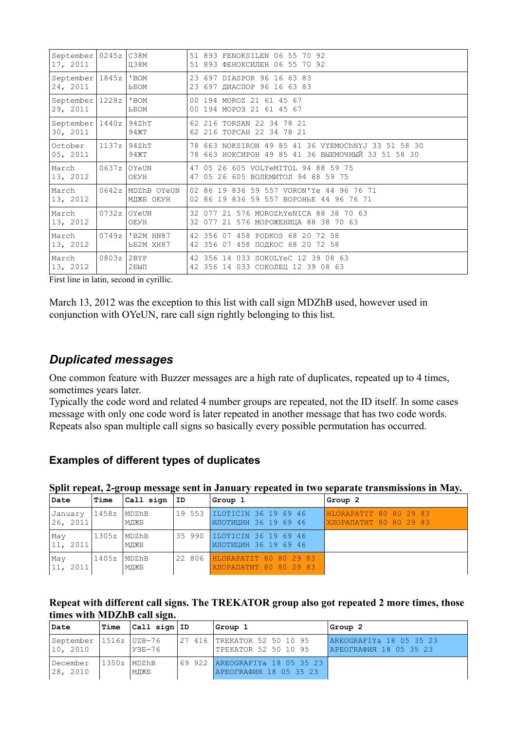| $September$   0245 $z$   C38M<br>17, 2011 |               | Ц38М                | 51 893 FENOKSILEN 06 55 70 92<br>51 893 ФЕНОКСИЛЕН 06 55 70 92                                          |  |  |  |
|-------------------------------------------|---------------|---------------------|---------------------------------------------------------------------------------------------------------|--|--|--|
| September $ 1845z $                       |               | 'BOM                | 23 697 DIASPOR 96 16 63 83                                                                              |  |  |  |
| 24, 2011                                  |               | <b>PROW</b>         | 23 697 ДИАСПОР 96 16 63 83                                                                              |  |  |  |
| September   1228z                         |               | ' BOM               | 00 194 MOROZ 21 61 45 67                                                                                |  |  |  |
| 29, 2011                                  |               | <b>PROM</b>         | 00 194 MOPO3 21 61 45 67                                                                                |  |  |  |
| September   1440z   94ZhT<br>30, 2011     |               | 94XT                | 62 216 TORSAN 22 34 78 21<br>62 216 TOPCAH 22 34 78 21                                                  |  |  |  |
| October<br>05, 2011                       | 1137z   94ZhT | 94XT                | 78 663 NOKSIRON 49 85 41 36 VYEMOChNYJ 33 51 58 30<br>78 663 НОКСИРОН 49 85 41 36 ВЫЕМОЧНЫЙ 33 51 58 30 |  |  |  |
| March                                     | 0637z         | OYeUN               | 47 05 26 605 VOLYeMITOL 94 88 59 75                                                                     |  |  |  |
| 13, 2012                                  |               | OEYH                | 47 05 26 605 ВОЛЕМИТОЛ 94 88 59 75                                                                      |  |  |  |
| March                                     |               | 0642z   MDZhB OYeUN | 02 86 19 836 59 557 VORON'Ye 44 96 76 71                                                                |  |  |  |
| 13, 2012                                  |               | МДЖБ ОЕУН           | 02 86 19 836 59 557 BOPOHLE 44 96 76 71                                                                 |  |  |  |
| March                                     | 0732z         | OYeUN               | 32 077 21 576 MOROZhYeNICA 88 38 70 63                                                                  |  |  |  |
| 13, 2012                                  |               | OEYH                | 32 077 21 576 МОРОЖЕНИЦА 88 38 70 63                                                                    |  |  |  |
| March                                     |               | 0749z   'B2M HN87   | 42 356 07 458 PODKOS 68 20 72 58                                                                        |  |  |  |
| 13, 2012                                  |               | <b>LE2M XH87</b>    | 42 356 07 458 ПОДКОС 68 20 72 58                                                                        |  |  |  |
| March                                     | 0803z         | 2BYP                | 42 356 14 033 SOKOLYeC 12 39 08 63                                                                      |  |  |  |
| 13, 2012                                  |               | $2$ БЫП             | 42 356 14 033 СОКОЛЕЦ 12 39 08 63                                                                       |  |  |  |

First line in latin, second in cyrillic.

March 13, 2012 was the exception to this list with call sign MDZhB used, however used in conjunction with OYeUN, rare call sign rightly belonging to this list.

### *Duplicated messages*

One common feature with Buzzer messages are a high rate of duplicates, repeated up to 4 times, sometimes years later.

Typically the code word and related 4 number groups are repeated, not the ID itself. In some cases message with only one code word is later repeated in another message that has two code words. Repeats also span multiple call signs so basically every possible permutation has occurred.

#### **Examples of different types of duplicates**

#### **Split repeat, 2-group message sent in January repeated in two separate transmissions in May.**

| Date                | <b>Time</b>         | $ Call$ sign $ ID$   | Group 1                                                 | Group 2                                           |
|---------------------|---------------------|----------------------|---------------------------------------------------------|---------------------------------------------------|
| January<br>26, 2011 | 1458z               | MDZhB<br>МДЖБ        | 19 553  ILOTICIN 36 19 69 46<br>ИЛОТИЦИН 36 19 69 46    | HLORAPATIT 80 80 29 83<br>XJOPAIIATMT 80 80 29 83 |
| May<br> 11, 2011    | $ 1305z $ MDZ $h$ B | МДЖБ                 | 35 990  ILOTICIN 36 19 69 46<br> ИЛОТИЦИН 36 19 69 46   |                                                   |
| May<br> 11, 2011    | 1405z               | <b>MDZhB</b><br>МДЖБ | 22 806 HLORAPATIT 80 80 29 83<br>XJOPANATMT 80 80 29 83 |                                                   |

#### **Repeat with different call signs. The TREKATOR group also got repeated 2 more times, those times with MDZhB call sign.**

| Date                                    | Time          | $ Call$ sign $ ID$ | Group 1                                                    | Group 2                                                  |
|-----------------------------------------|---------------|--------------------|------------------------------------------------------------|----------------------------------------------------------|
| September   1516z   UZB-76<br> 10, 2010 |               | $Y3B-76$           | 127 416 TREKATOR 52 50 10 95<br>TPEKATOR 52 50 10 95       | AREOGRAFIYA 18 05 35 23<br><b>APEOTRAQUA 18 05 35 23</b> |
| December<br>28, 2010                    | 11350z  MDZhB | МДЖБ               | 69 922   AREOGRAFIYa 18 05 35 23<br>АРЕОГRАФИЯ 18 05 35 23 |                                                          |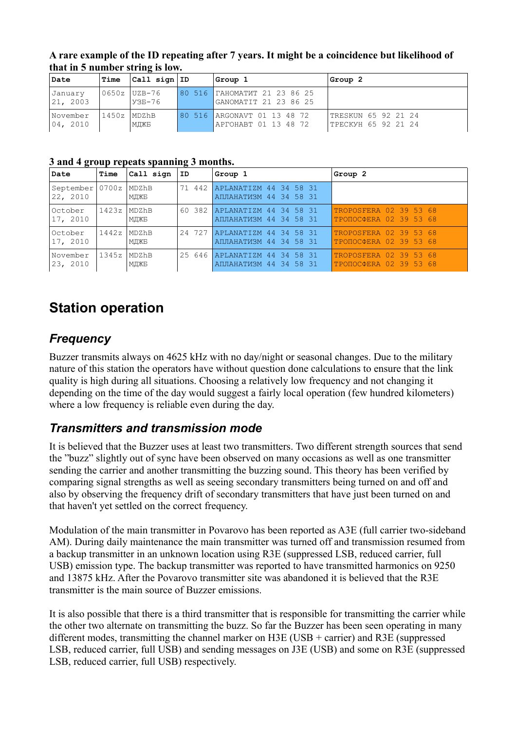| A rare example of the ID repeating after 7 years. It might be a coincidence but likelihood of |  |
|-----------------------------------------------------------------------------------------------|--|
| that in 5 number string is low.                                                               |  |

| Date                  | Time         | $ Call$ sign $ ID$         | Group 1                                               | Group 2                                    |
|-----------------------|--------------|----------------------------|-------------------------------------------------------|--------------------------------------------|
| January<br> 21, 2003  |              | 0650z   UZB-76<br>$Y35-76$ | 80 516 TAHOMATMT 21 23 86 25<br>GANOMATIT 21 23 86 25 |                                            |
| November<br> 04, 2010 | 1450z  MDZhB | МДЖБ                       | 80 516 ARGONAVT 01 13 48 72<br>APTOHABT 01 13 48 72   | TRESKUN 65 92 21 24<br>TPECKYH 65 92 21 24 |

**3 and 4 group repeats spanning 3 months.**

| Date                         | Time           | Call sign     | ID | Group 1                                                   | Group 2                                          |
|------------------------------|----------------|---------------|----|-----------------------------------------------------------|--------------------------------------------------|
| September 0700z <br>22, 2010 |                | MDZhB<br>МДЖБ |    | 71 442 APLANATIZM 44 34 58 31<br>АПЛАНАТИЗМ 44 34 58 31   |                                                  |
| October<br>17, 2010          | 1423z  MDZhB   | МДЖБ          |    | 60 382 APLANATIZM 44 34 58 31<br>АПЛАНАТИЗМ 44 34 58 31   | TROPOSFERA 02 39 53 68<br>TPONOCOERA 02 39 53 68 |
| October<br>17, 2010          | 11442z   MDZhB | МДЖБ          |    | 24 727   APLANATIZM 44 34 58 31<br>АПЛАНАТИЗМ 44 34 58 31 | TROPOSFERA 02 39 53 68<br>TPONOCOERA 02 39 53 68 |
| November<br>23, 2010         | 1345z  MDZhB   | МДЖБ          |    | 25 646 APLANATIZM 44 34 58 31<br>АПЛАНАТИЗМ 44 34 58 31   | TROPOSFERA 02 39 53 68<br>TPOΠOCΦERA 02 39 53 68 |

# **Station operation**

# *Frequency*

Buzzer transmits always on 4625 kHz with no day/night or seasonal changes. Due to the military nature of this station the operators have without question done calculations to ensure that the link quality is high during all situations. Choosing a relatively low frequency and not changing it depending on the time of the day would suggest a fairly local operation (few hundred kilometers) where a low frequency is reliable even during the day.

# *Transmitters and transmission mode*

It is believed that the Buzzer uses at least two transmitters. Two different strength sources that send the "buzz" slightly out of sync have been observed on many occasions as well as one transmitter sending the carrier and another transmitting the buzzing sound. This theory has been verified by comparing signal strengths as well as seeing secondary transmitters being turned on and off and also by observing the frequency drift of secondary transmitters that have just been turned on and that haven't yet settled on the correct frequency.

Modulation of the main transmitter in Povarovo has been reported as A3E (full carrier two-sideband AM). During daily maintenance the main transmitter was turned off and transmission resumed from a backup transmitter in an unknown location using R3E (suppressed LSB, reduced carrier, full USB) emission type. The backup transmitter was reported to have transmitted harmonics on 9250 and 13875 kHz. After the Povarovo transmitter site was abandoned it is believed that the R3E transmitter is the main source of Buzzer emissions.

It is also possible that there is a third transmitter that is responsible for transmitting the carrier while the other two alternate on transmitting the buzz. So far the Buzzer has been seen operating in many different modes, transmitting the channel marker on H3E (USB + carrier) and R3E (suppressed LSB, reduced carrier, full USB) and sending messages on J3E (USB) and some on R3E (suppressed LSB, reduced carrier, full USB) respectively.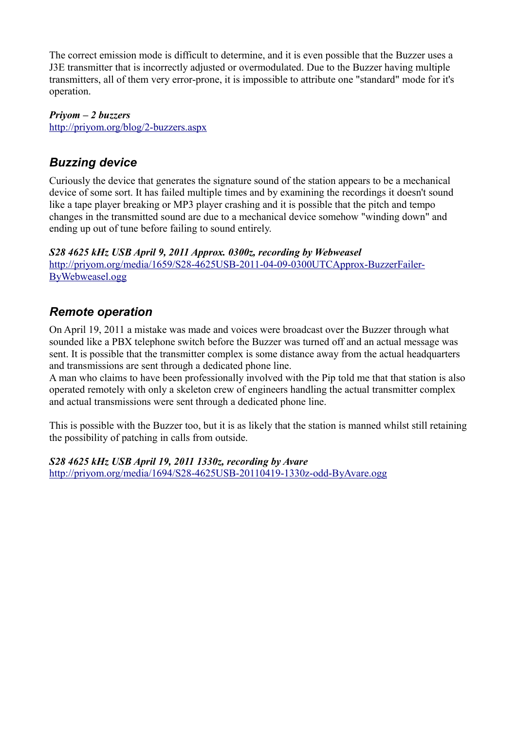The correct emission mode is difficult to determine, and it is even possible that the Buzzer uses a J3E transmitter that is incorrectly adjusted or overmodulated. Due to the Buzzer having multiple transmitters, all of them very error-prone, it is impossible to attribute one "standard" mode for it's operation.

*Priyom – 2 buzzers* <http://priyom.org/blog/2-buzzers.aspx>

# *Buzzing device*

Curiously the device that generates the signature sound of the station appears to be a mechanical device of some sort. It has failed multiple times and by examining the recordings it doesn't sound like a tape player breaking or MP3 player crashing and it is possible that the pitch and tempo changes in the transmitted sound are due to a mechanical device somehow "winding down" and ending up out of tune before failing to sound entirely.

*S28 4625 kHz USB April 9, 2011 Approx. 0300z, recording by Webweasel* [http://priyom.org/media/1659/S28-4625USB-2011-04-09-0300UTCApprox-BuzzerFailer-](http://priyom.org/media/1659/S28-4625USB-2011-04-09-0300UTCApprox-BuzzerFailer-ByWebweasel.ogg)[ByWebweasel.ogg](http://priyom.org/media/1659/S28-4625USB-2011-04-09-0300UTCApprox-BuzzerFailer-ByWebweasel.ogg)

# *Remote operation*

On April 19, 2011 a mistake was made and voices were broadcast over the Buzzer through what sounded like a PBX telephone switch before the Buzzer was turned off and an actual message was sent. It is possible that the transmitter complex is some distance away from the actual headquarters and transmissions are sent through a dedicated phone line.

A man who claims to have been professionally involved with the Pip told me that that station is also operated remotely with only a skeleton crew of engineers handling the actual transmitter complex and actual transmissions were sent through a dedicated phone line.

This is possible with the Buzzer too, but it is as likely that the station is manned whilst still retaining the possibility of patching in calls from outside.

*S28 4625 kHz USB April 19, 2011 1330z, recording by Avare*

<http://priyom.org/media/1694/S28-4625USB-20110419-1330z-odd-ByAvare.ogg>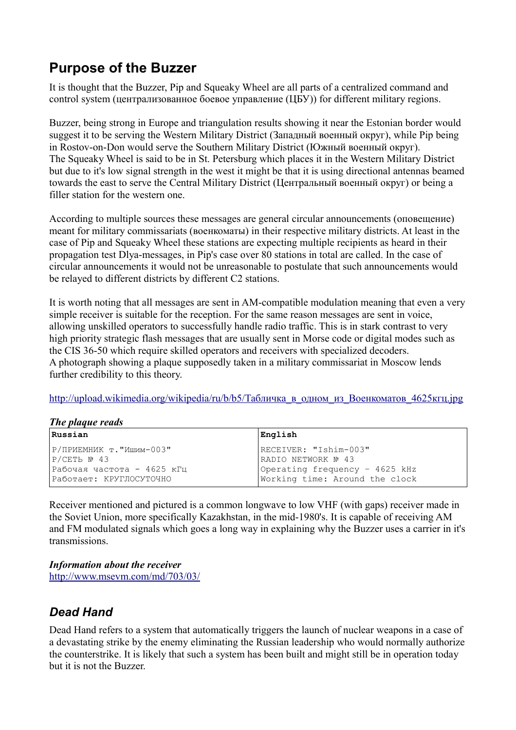# **Purpose of the Buzzer**

It is thought that the Buzzer, Pip and Squeaky Wheel are all parts of a centralized command and control system (централизованное боевое управление (ЦБУ)) for different military regions.

Buzzer, being strong in Europe and triangulation results showing it near the Estonian border would suggest it to be serving the Western Military District (Западный военный округ), while Pip being in Rostov-on-Don would serve the Southern Military District (Южный военный округ). The Squeaky Wheel is said to be in St. Petersburg which places it in the Western Military District but due to it's low signal strength in the west it might be that it is using directional antennas beamed towards the east to serve the Central Military District (Центральный военный округ) or being a filler station for the western one.

According to multiple sources these messages are general circular announcements (оповещение) meant for military commissariats (военкоматы) in their respective military districts. At least in the case of Pip and Squeaky Wheel these stations are expecting multiple recipients as heard in their propagation test Dlya-messages, in Pip's case over 80 stations in total are called. In the case of circular announcements it would not be unreasonable to postulate that such announcements would be relayed to different districts by different C2 stations.

It is worth noting that all messages are sent in AM-compatible modulation meaning that even a very simple receiver is suitable for the reception. For the same reason messages are sent in voice, allowing unskilled operators to successfully handle radio traffic. This is in stark contrast to very high priority strategic flash messages that are usually sent in Morse code or digital modes such as the CIS 36-50 which require skilled operators and receivers with specialized decoders. A photograph showing a plaque supposedly taken in a military commissariat in Moscow lends further credibility to this theory.

http://upload.wikimedia.org/wikipedia/ru/b/b5/Табличка в одном из Военкоматов 4625кгц.jpg

| The plaque reads |  |
|------------------|--|
|                  |  |

| Russian                                | English                                      |  |  |  |  |  |  |
|----------------------------------------|----------------------------------------------|--|--|--|--|--|--|
| Р/ПРИЕМНИК т."Ишим-003"<br>P/СЕТЬ № 43 | RECEIVER: "Ishim-003"<br>RADIO NETWORK Nº 43 |  |  |  |  |  |  |
| Рабочая частота - 4625 кГц             | Operating frequency - 4625 kHz               |  |  |  |  |  |  |
| Работает: КРУГЛОСУТОЧНО                | Working time: Around the clock               |  |  |  |  |  |  |

Receiver mentioned and pictured is a common longwave to low VHF (with gaps) receiver made in the Soviet Union, more specifically Kazakhstan, in the mid-1980's. It is capable of receiving AM and FM modulated signals which goes a long way in explaining why the Buzzer uses a carrier in it's transmissions.

*Information about the receiver* <http://www.msevm.com/md/703/03/>

# *Dead Hand*

Dead Hand refers to a system that automatically triggers the launch of nuclear weapons in a case of a devastating strike by the enemy eliminating the Russian leadership who would normally authorize the counterstrike. It is likely that such a system has been built and might still be in operation today but it is not the Buzzer.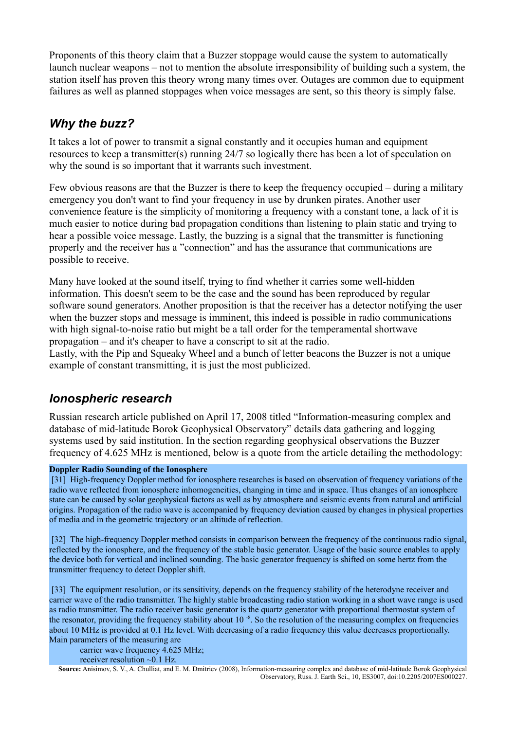Proponents of this theory claim that a Buzzer stoppage would cause the system to automatically launch nuclear weapons – not to mention the absolute irresponsibility of building such a system, the station itself has proven this theory wrong many times over. Outages are common due to equipment failures as well as planned stoppages when voice messages are sent, so this theory is simply false.

# *Why the buzz?*

It takes a lot of power to transmit a signal constantly and it occupies human and equipment resources to keep a transmitter(s) running 24/7 so logically there has been a lot of speculation on why the sound is so important that it warrants such investment.

Few obvious reasons are that the Buzzer is there to keep the frequency occupied – during a military emergency you don't want to find your frequency in use by drunken pirates. Another user convenience feature is the simplicity of monitoring a frequency with a constant tone, a lack of it is much easier to notice during bad propagation conditions than listening to plain static and trying to hear a possible voice message. Lastly, the buzzing is a signal that the transmitter is functioning properly and the receiver has a "connection" and has the assurance that communications are possible to receive.

Many have looked at the sound itself, trying to find whether it carries some well-hidden information. This doesn't seem to be the case and the sound has been reproduced by regular software sound generators. Another proposition is that the receiver has a detector notifying the user when the buzzer stops and message is imminent, this indeed is possible in radio communications with high signal-to-noise ratio but might be a tall order for the temperamental shortwave propagation – and it's cheaper to have a conscript to sit at the radio.

Lastly, with the Pip and Squeaky Wheel and a bunch of letter beacons the Buzzer is not a unique example of constant transmitting, it is just the most publicized.

### *Ionospheric research*

Russian research article published on April 17, 2008 titled "Information-measuring complex and database of mid-latitude Borok Geophysical Observatory" details data gathering and logging systems used by said institution. In the section regarding geophysical observations the Buzzer frequency of 4.625 MHz is mentioned, below is a quote from the article detailing the methodology:

#### **Doppler Radio Sounding of the Ionosphere**

 [31] High-frequency Doppler method for ionosphere researches is based on observation of frequency variations of the radio wave reflected from ionosphere inhomogeneities, changing in time and in space. Thus changes of an ionosphere state can be caused by solar geophysical factors as well as by atmosphere and seismic events from natural and artificial origins. Propagation of the radio wave is accompanied by frequency deviation caused by changes in physical properties of media and in the geometric trajectory or an altitude of reflection.

 [32] The high-frequency Doppler method consists in comparison between the frequency of the continuous radio signal, reflected by the ionosphere, and the frequency of the stable basic generator. Usage of the basic source enables to apply the device both for vertical and inclined sounding. The basic generator frequency is shifted on some hertz from the transmitter frequency to detect Doppler shift.

 [33] The equipment resolution, or its sensitivity, depends on the frequency stability of the heterodyne receiver and carrier wave of the radio transmitter. The highly stable broadcasting radio station working in a short wave range is used as radio transmitter. The radio receiver basic generator is the quartz generator with proportional thermostat system of the resonator, providing the frequency stability about  $10^{-8}$ . So the resolution of the measuring complex on frequencies about 10 MHz is provided at 0.1 Hz level. With decreasing of a radio frequency this value decreases proportionally. Main parameters of the measuring are

carrier wave frequency 4.625 MHz;

receiver resolution ~0.1 Hz.

**Source:** Anisimov, S. V., A. Chulliat, and E. M. Dmitriev (2008), Information-measuring complex and database of mid-latitude Borok Geophysical Observatory, Russ. J. Earth Sci., 10, ES3007, doi:10.2205/2007ES000227.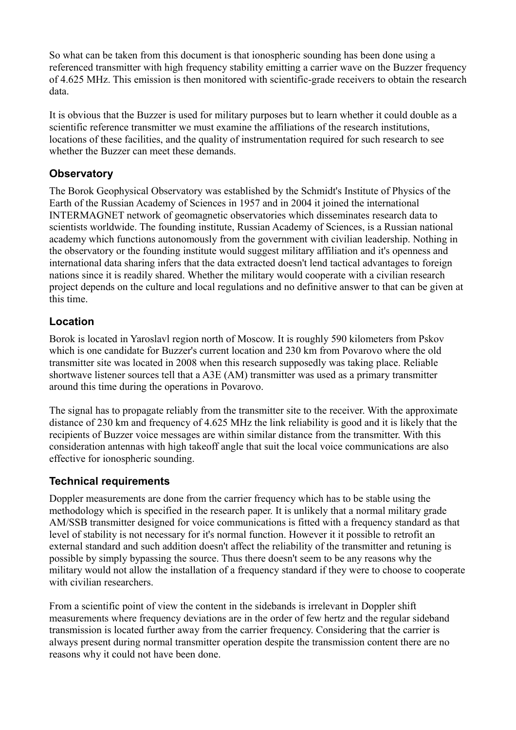So what can be taken from this document is that ionospheric sounding has been done using a referenced transmitter with high frequency stability emitting a carrier wave on the Buzzer frequency of 4.625 MHz. This emission is then monitored with scientific-grade receivers to obtain the research data.

It is obvious that the Buzzer is used for military purposes but to learn whether it could double as a scientific reference transmitter we must examine the affiliations of the research institutions, locations of these facilities, and the quality of instrumentation required for such research to see whether the Buzzer can meet these demands.

### **Observatory**

The Borok Geophysical Observatory was established by the Schmidt's Institute of Physics of the Earth of the Russian Academy of Sciences in 1957 and in 2004 it joined the international INTERMAGNET network of geomagnetic observatories which disseminates research data to scientists worldwide. The founding institute, Russian Academy of Sciences, is a Russian national academy which functions autonomously from the government with civilian leadership. Nothing in the observatory or the founding institute would suggest military affiliation and it's openness and international data sharing infers that the data extracted doesn't lend tactical advantages to foreign nations since it is readily shared. Whether the military would cooperate with a civilian research project depends on the culture and local regulations and no definitive answer to that can be given at this time.

### **Location**

Borok is located in Yaroslavl region north of Moscow. It is roughly 590 kilometers from Pskov which is one candidate for Buzzer's current location and 230 km from Povarovo where the old transmitter site was located in 2008 when this research supposedly was taking place. Reliable shortwave listener sources tell that a A3E (AM) transmitter was used as a primary transmitter around this time during the operations in Povarovo.

The signal has to propagate reliably from the transmitter site to the receiver. With the approximate distance of 230 km and frequency of 4.625 MHz the link reliability is good and it is likely that the recipients of Buzzer voice messages are within similar distance from the transmitter. With this consideration antennas with high takeoff angle that suit the local voice communications are also effective for ionospheric sounding.

### **Technical requirements**

Doppler measurements are done from the carrier frequency which has to be stable using the methodology which is specified in the research paper. It is unlikely that a normal military grade AM/SSB transmitter designed for voice communications is fitted with a frequency standard as that level of stability is not necessary for it's normal function. However it it possible to retrofit an external standard and such addition doesn't affect the reliability of the transmitter and retuning is possible by simply bypassing the source. Thus there doesn't seem to be any reasons why the military would not allow the installation of a frequency standard if they were to choose to cooperate with civilian researchers.

From a scientific point of view the content in the sidebands is irrelevant in Doppler shift measurements where frequency deviations are in the order of few hertz and the regular sideband transmission is located further away from the carrier frequency. Considering that the carrier is always present during normal transmitter operation despite the transmission content there are no reasons why it could not have been done.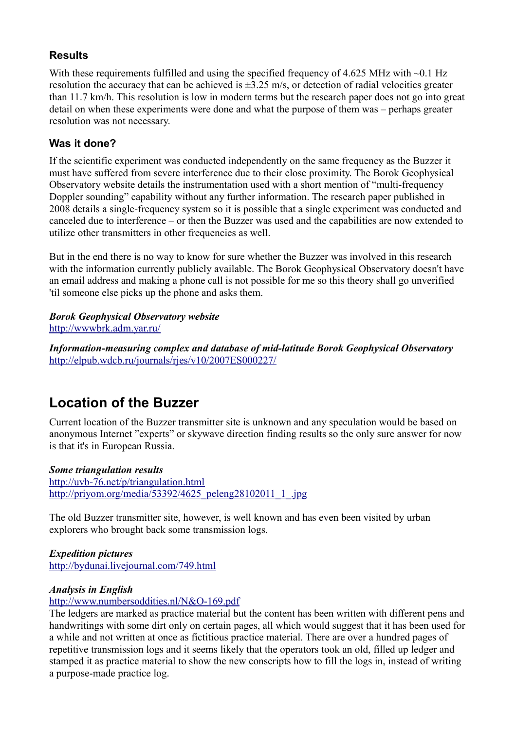### **Results**

With these requirements fulfilled and using the specified frequency of 4.625 MHz with ~0.1 Hz resolution the accuracy that can be achieved is ±3.25 m/s, or detection of radial velocities greater than 11.7 km/h. This resolution is low in modern terms but the research paper does not go into great detail on when these experiments were done and what the purpose of them was – perhaps greater resolution was not necessary.

# **Was it done?**

If the scientific experiment was conducted independently on the same frequency as the Buzzer it must have suffered from severe interference due to their close proximity. The Borok Geophysical Observatory website details the instrumentation used with a short mention of "multi-frequency Doppler sounding" capability without any further information. The research paper published in 2008 details a single-frequency system so it is possible that a single experiment was conducted and canceled due to interference – or then the Buzzer was used and the capabilities are now extended to utilize other transmitters in other frequencies as well.

But in the end there is no way to know for sure whether the Buzzer was involved in this research with the information currently publicly available. The Borok Geophysical Observatory doesn't have an email address and making a phone call is not possible for me so this theory shall go unverified 'til someone else picks up the phone and asks them.

#### *Borok Geophysical Observatory website* <http://wwwbrk.adm.yar.ru/>

*Information-measuring complex and database of mid-latitude Borok Geophysical Observatory* <http://elpub.wdcb.ru/journals/rjes/v10/2007ES000227/>

# **Location of the Buzzer**

Current location of the Buzzer transmitter site is unknown and any speculation would be based on anonymous Internet "experts" or skywave direction finding results so the only sure answer for now is that it's in European Russia.

#### *Some triangulation results* <http://uvb-76.net/p/triangulation.html> [http://priyom.org/media/53392/4625\\_peleng28102011\\_1\\_.jpg](http://priyom.org/media/53392/4625_peleng28102011_1_.jpg)

The old Buzzer transmitter site, however, is well known and has even been visited by urban explorers who brought back some transmission logs.

*Expedition pictures* <http://bydunai.livejournal.com/749.html>

### *Analysis in English*

<http://www.numbersoddities.nl/N&O-169.pdf>

The ledgers are marked as practice material but the content has been written with different pens and handwritings with some dirt only on certain pages, all which would suggest that it has been used for a while and not written at once as fictitious practice material. There are over a hundred pages of repetitive transmission logs and it seems likely that the operators took an old, filled up ledger and stamped it as practice material to show the new conscripts how to fill the logs in, instead of writing a purpose-made practice log.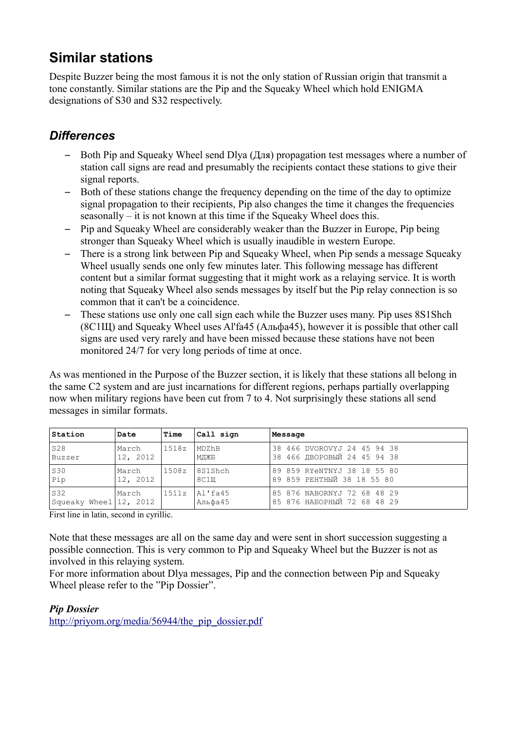# **Similar stations**

Despite Buzzer being the most famous it is not the only station of Russian origin that transmit a tone constantly. Similar stations are the Pip and the Squeaky Wheel which hold ENIGMA designations of S30 and S32 respectively.

# *Differences*

- Both Pip and Squeaky Wheel send Dlya (Для) propagation test messages where a number of station call signs are read and presumably the recipients contact these stations to give their signal reports.
- Both of these stations change the frequency depending on the time of the day to optimize signal propagation to their recipients, Pip also changes the time it changes the frequencies seasonally – it is not known at this time if the Squeaky Wheel does this.
- Pip and Squeaky Wheel are considerably weaker than the Buzzer in Europe, Pip being stronger than Squeaky Wheel which is usually inaudible in western Europe.
- There is a strong link between Pip and Squeaky Wheel, when Pip sends a message Squeaky Wheel usually sends one only few minutes later. This following message has different content but a similar format suggesting that it might work as a relaying service. It is worth noting that Squeaky Wheel also sends messages by itself but the Pip relay connection is so common that it can't be a coincidence.
- These stations use only one call sign each while the Buzzer uses many. Pip uses 8S1Shch (8С1Щ) and Squeaky Wheel uses Al'fa45 (Альфа45), however it is possible that other call signs are used very rarely and have been missed because these stations have not been monitored 24/7 for very long periods of time at once.

As was mentioned in the Purpose of the Buzzer section, it is likely that these stations all belong in the same C2 system and are just incarnations for different regions, perhaps partially overlapping now when military regions have been cut from 7 to 4. Not surprisingly these stations all send messages in similar formats.

| Station                         | Date     | Time  | Call sign          | Message                                                    |  |  |  |  |  |  |
|---------------------------------|----------|-------|--------------------|------------------------------------------------------------|--|--|--|--|--|--|
| <b>S28</b>                      | March    | 1518z | MDZhB              | 38 466 DVOROVYJ 24 45 94 38                                |  |  |  |  |  |  |
| Buzzer                          | 12, 2012 |       | МДЖБ               | З8 466 ДВОРОВЫЙ 24 45 94 38                                |  |  |  |  |  |  |
| <b>S30</b>                      | March    | 1508z | 8S1Shch            | 89 859 RYeNTNYJ 38 18 55 80                                |  |  |  |  |  |  |
| Pip                             | 12, 2012 |       | 8C1III             | 89 859 РЕНТНЫЙ 38 18 55 80                                 |  |  |  |  |  |  |
| S32<br>Squeaky Wheel   12, 2012 | March    | 1511z | AI'fa45<br>Альфа45 | 85 876 NABORNYJ 72 68 48 29<br>85 876 НАБОРНЫЙ 72 68 48 29 |  |  |  |  |  |  |

First line in latin, second in cyrillic.

Note that these messages are all on the same day and were sent in short succession suggesting a possible connection. This is very common to Pip and Squeaky Wheel but the Buzzer is not as involved in this relaying system.

For more information about Dlya messages, Pip and the connection between Pip and Squeaky Wheel please refer to the "Pip Dossier".

### *Pip Dossier*

[http://priyom.org/media/56944/the\\_pip\\_dossier.pdf](http://priyom.org/media/56944/the_pip_dossier.pdf)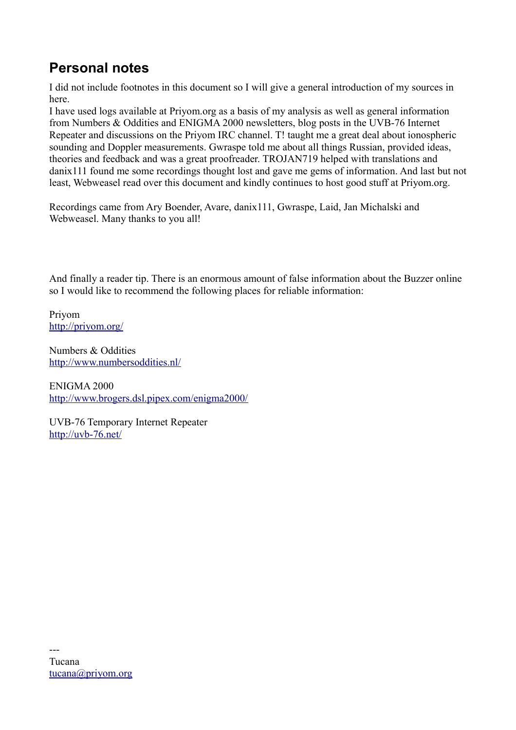# **Personal notes**

I did not include footnotes in this document so I will give a general introduction of my sources in here.

I have used logs available at Priyom.org as a basis of my analysis as well as general information from Numbers & Oddities and ENIGMA 2000 newsletters, blog posts in the UVB-76 Internet Repeater and discussions on the Priyom IRC channel. T! taught me a great deal about ionospheric sounding and Doppler measurements. Gwraspe told me about all things Russian, provided ideas, theories and feedback and was a great proofreader. TROJAN719 helped with translations and danix111 found me some recordings thought lost and gave me gems of information. And last but not least, Webweasel read over this document and kindly continues to host good stuff at Priyom.org.

Recordings came from Ary Boender, Avare, danix111, Gwraspe, Laid, Jan Michalski and Webweasel. Many thanks to you all!

And finally a reader tip. There is an enormous amount of false information about the Buzzer online so I would like to recommend the following places for reliable information:

Priyom <http://priyom.org/>

Numbers & Oddities <http://www.numbersoddities.nl/>

ENIGMA 2000 <http://www.brogers.dsl.pipex.com/enigma2000/>

UVB-76 Temporary Internet Repeater <http://uvb-76.net/>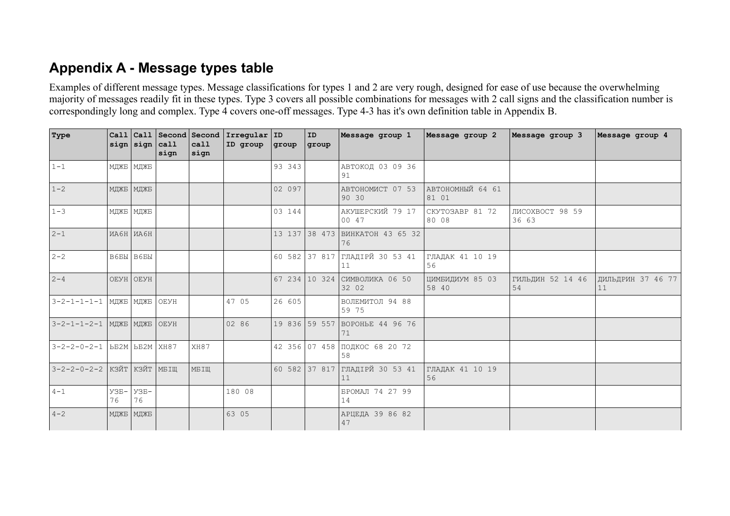# **Appendix A - Message types table**

Examples of different message types. Message classifications for types 1 and 2 are very rough, designed for ease of use because the overwhelming majority of messages readily fit in these types. Type 3 covers all possible combinations for messages with 2 call signs and the classification number is correspondingly long and complex. Type 4 covers one-off messages. Type 4-3 has it's own definition table in Appendix B.

| Type                             |              | sign sign          | Call  Call   Second   Second<br> cal1<br>sign | call<br>sign | $ Irregular $ ID<br>ID group | qroup  | ID<br>group   | Message group 1                      | Message group 2           | Message group 3          | Message group 4         |
|----------------------------------|--------------|--------------------|-----------------------------------------------|--------------|------------------------------|--------|---------------|--------------------------------------|---------------------------|--------------------------|-------------------------|
| $1 - 1$                          |              | МДЖБ   МДЖБ        |                                               |              |                              | 93 343 |               | АВТОКОД 03 09 36<br>91               |                           |                          |                         |
| $1 - 2$                          |              | МДЖБ   МДЖБ        |                                               |              |                              | 02 097 |               | АВТОНОМИСТ 07 53<br>90 30            | АВТОНОМНЫЙ 64 61<br>81 01 |                          |                         |
| $1 - 3$                          |              | МДЖБ   МДЖБ        |                                               |              |                              | 03 144 |               | АКУШЕРСКИЙ 79 17<br>00 47            | CKYTO3ABP 81 72<br>80 08  | ЛИСОХВОСТ 98 59<br>36 63 |                         |
| $ 2-1 $                          |              | ИА6Н ИА6Н          |                                               |              |                              | 13 137 |               | 38 473 BMHKATOH 43 65 32<br>76       |                           |                          |                         |
| $ 2-2 $                          |              | B6BH B6BH          |                                               |              |                              | 60 582 |               | 37 817 ГЛАДІРЙ 30 53 41<br>11        | ГЛАДАК 41 10 19<br>56     |                          |                         |
| $ 2 - 4 $                        |              | OEYH OEYH          |                                               |              |                              | 67 234 |               | 10 324 СИМВОЛИКА 06 50<br>32 02      | ЦИМБИДИУМ 85 03<br>58 40  | ГИЛЬДИН 52 14 46<br>54   | ДИЛЬДРИН 37 46 77<br>11 |
| $3 - 2 - 1 - 1 - 1 - 1$          |              | МДЖБ   МДЖБ        | OEYH                                          |              | 47 05                        | 26 605 |               | ВОЛЕМИТОЛ 94 88<br>59 75             |                           |                          |                         |
| 3-2-1-1-2-1   МДЖБ   МДЖБ   ОЕУН |              |                    |                                               |              | 02 86                        |        | 19 836 59 557 | BOPOHLE 44 96 76<br>71               |                           |                          |                         |
| $3 - 2 - 2 - 0 - 2 - 1$          |              | $52M$ $52M$ $XH87$ |                                               | XH87         |                              |        |               | 42 356 07 458 ПОДКОС 68 20 72<br>58  |                           |                          |                         |
| $3 - 2 - 2 - 0 - 2 - 2$          |              | КЗЙТ КЗЙТ          | MBILL                                         | MБIЩ         |                              |        |               | 60 582 37 817 ГЛАДІРЙ 30 53 41<br>11 | ГЛАДАК 41 10 19<br>56     |                          |                         |
| $ 4 - 1 $                        | $Y3B-$<br>76 | $yzB-$<br>76       |                                               |              | 180 08                       |        |               | БРОМАЛ 74 27 99<br>14                |                           |                          |                         |
| $ 4-2 $                          |              | МДЖБ   МДЖБ        |                                               |              | 63 05                        |        |               | АРЦЕДА 39 86 82<br>47                |                           |                          |                         |